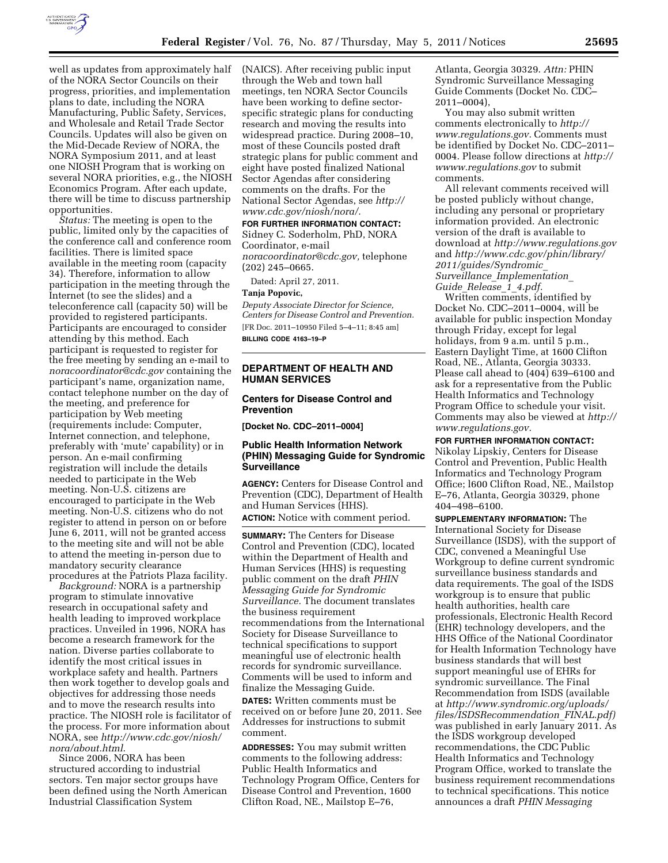

well as updates from approximately half of the NORA Sector Councils on their progress, priorities, and implementation plans to date, including the NORA Manufacturing, Public Safety, Services, and Wholesale and Retail Trade Sector Councils. Updates will also be given on the Mid-Decade Review of NORA, the NORA Symposium 2011, and at least one NIOSH Program that is working on

several NORA priorities, e.g., the NIOSH Economics Program. After each update, there will be time to discuss partnership opportunities.

*Status:* The meeting is open to the public, limited only by the capacities of the conference call and conference room facilities. There is limited space available in the meeting room (capacity 34). Therefore, information to allow participation in the meeting through the Internet (to see the slides) and a teleconference call (capacity 50) will be provided to registered participants. Participants are encouraged to consider attending by this method. Each participant is requested to register for the free meeting by sending an e-mail to *[noracoordinator@cdc.gov](mailto:noracoordinator@cdc.gov)* containing the participant's name, organization name, contact telephone number on the day of the meeting, and preference for participation by Web meeting (requirements include: Computer, Internet connection, and telephone, preferably with 'mute' capability) or in person. An e-mail confirming registration will include the details needed to participate in the Web meeting. Non-U.S. citizens are encouraged to participate in the Web meeting. Non-U.S. citizens who do not register to attend in person on or before June 6, 2011, will not be granted access to the meeting site and will not be able to attend the meeting in-person due to mandatory security clearance procedures at the Patriots Plaza facility.

*Background:* NORA is a partnership program to stimulate innovative research in occupational safety and health leading to improved workplace practices. Unveiled in 1996, NORA has become a research framework for the nation. Diverse parties collaborate to identify the most critical issues in workplace safety and health. Partners then work together to develop goals and objectives for addressing those needs and to move the research results into practice. The NIOSH role is facilitator of the process. For more information about NORA, see *[http://www.cdc.gov/niosh/](http://www.cdc.gov/niosh/nora/about.html)  [nora/about.html](http://www.cdc.gov/niosh/nora/about.html)*.

Since 2006, NORA has been structured according to industrial sectors. Ten major sector groups have been defined using the North American Industrial Classification System

(NAICS). After receiving public input through the Web and town hall meetings, ten NORA Sector Councils have been working to define sectorspecific strategic plans for conducting research and moving the results into widespread practice. During 2008–10, most of these Councils posted draft strategic plans for public comment and eight have posted finalized National Sector Agendas after considering comments on the drafts. For the National Sector Agendas, see *[http://](http://www.cdc.gov/niosh/nora/)  [www.cdc.gov/niosh/nora/.](http://www.cdc.gov/niosh/nora/)* 

**FOR FURTHER INFORMATION CONTACT:**  Sidney C. Soderholm, PhD, NORA Coordinator, e-mail *[noracoordinator@cdc.gov,](mailto:noracoordinator@cdc.gov)* telephone (202) 245–0665.

Dated: April 27, 2011.

# **Tanja Popovic,**

*Deputy Associate Director for Science, Centers for Disease Control and Prevention.*  [FR Doc. 2011–10950 Filed 5–4–11; 8:45 am]

**BILLING CODE 4163–19–P** 

# **DEPARTMENT OF HEALTH AND HUMAN SERVICES**

## **Centers for Disease Control and Prevention**

**[Docket No. CDC–2011–0004]** 

# **Public Health Information Network (PHIN) Messaging Guide for Syndromic Surveillance**

**AGENCY:** Centers for Disease Control and Prevention (CDC), Department of Health and Human Services (HHS).

**ACTION:** Notice with comment period.

**SUMMARY:** The Centers for Disease Control and Prevention (CDC), located within the Department of Health and Human Services (HHS) is requesting public comment on the draft *PHIN Messaging Guide for Syndromic Surveillance.* The document translates the business requirement recommendations from the International Society for Disease Surveillance to technical specifications to support meaningful use of electronic health records for syndromic surveillance. Comments will be used to inform and finalize the Messaging Guide. **DATES:** Written comments must be received on or before June 20, 2011. See Addresses for instructions to submit comment.

**ADDRESSES:** You may submit written comments to the following address: Public Health Informatics and Technology Program Office, Centers for Disease Control and Prevention, 1600 Clifton Road, NE., Mailstop E–76,

Atlanta, Georgia 30329. *Attn:* PHIN Syndromic Surveillance Messaging Guide Comments (Docket No. CDC– 2011–0004),

You may also submit written comments electronically to *[http://](http://www.regulations.gov)  [www.regulations.gov.](http://www.regulations.gov)* Comments must be identified by Docket No. CDC–2011– 0004. Please follow directions at *[http://](http://wwww.regulations.gov)  [wwww.regulations.gov](http://wwww.regulations.gov)* to submit comments.

All relevant comments received will be posted publicly without change, including any personal or proprietary information provided. An electronic version of the draft is available to download at *<http://www.regulations.gov>*  and *[http://www.cdc.gov/phin/library/](http://www.cdc.gov/phin/library/2011/guides/Syndromic_Surveillance_Implementation_Guide_Release_1_4.pdf)  [2011/guides/Syndromic](http://www.cdc.gov/phin/library/2011/guides/Syndromic_Surveillance_Implementation_Guide_Release_1_4.pdf)*\_ *Surveillance*\_*[Implementation](http://www.cdc.gov/phin/library/2011/guides/Syndromic_Surveillance_Implementation_Guide_Release_1_4.pdf)*\_ *Guide*\_*[Release](http://www.cdc.gov/phin/library/2011/guides/Syndromic_Surveillance_Implementation_Guide_Release_1_4.pdf)*\_*1*\_*4.pdf.* 

Written comments, identified by Docket No. CDC–2011–0004, will be available for public inspection Monday through Friday, except for legal holidays, from 9 a.m. until 5 p.m., Eastern Daylight Time, at 1600 Clifton Road, NE., Atlanta, Georgia 30333. Please call ahead to (404) 639–6100 and ask for a representative from the Public Health Informatics and Technology Program Office to schedule your visit. Comments may also be viewed at *[http://](http://www.regulations.gov) [www.regulations.gov.](http://www.regulations.gov)* 

### **FOR FURTHER INFORMATION CONTACT:**

Nikolay Lipskiy, Centers for Disease Control and Prevention, Public Health Informatics and Technology Program Office; l600 Clifton Road, NE., Mailstop E–76, Atlanta, Georgia 30329, phone 404–498–6100.

**SUPPLEMENTARY INFORMATION:** The International Society for Disease Surveillance (ISDS), with the support of CDC, convened a Meaningful Use Workgroup to define current syndromic surveillance business standards and data requirements. The goal of the ISDS workgroup is to ensure that public health authorities, health care professionals, Electronic Health Record (EHR) technology developers, and the HHS Office of the National Coordinator for Health Information Technology have business standards that will best support meaningful use of EHRs for syndromic surveillance. The Final Recommendation from ISDS (available at *[http://www.syndromic.org/uploads/](http://www.syndromic.org/uploads/files/ISDSRecommendation_FINAL.pdf)  [files/ISDSRecommendation](http://www.syndromic.org/uploads/files/ISDSRecommendation_FINAL.pdf)*\_*FINAL.pdf)*  was published in early January 2011. As the ISDS workgroup developed recommendations, the CDC Public Health Informatics and Technology Program Office, worked to translate the business requirement recommendations to technical specifications. This notice announces a draft *PHIN Messaging*